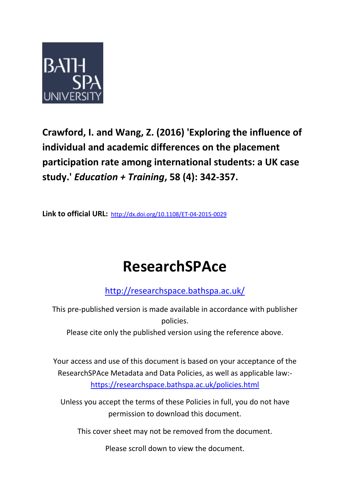

**Crawford, I. and Wang, Z. (2016) 'Exploring the influence of individual and academic differences on the placement participation rate among international students: a UK case study.'** *Education + Training***, 58 (4): 342-357.**

**Link to official URL:**<http://dx.doi.org/10.1108/ET-04-2015-0029>

# **ResearchSPAce**

<http://researchspace.bathspa.ac.uk/>

This pre-published version is made available in accordance with publisher policies.

Please cite only the published version using the reference above.

Your access and use of this document is based on your acceptance of the ResearchSPAce Metadata and Data Policies, as well as applicable law: https://researchspace.bathspa.ac.uk/policies.html

Unless you accept the terms of these Policies in full, you do not have permission to download this document.

This cover sheet may not be removed from the document.

Please scroll down to view the document.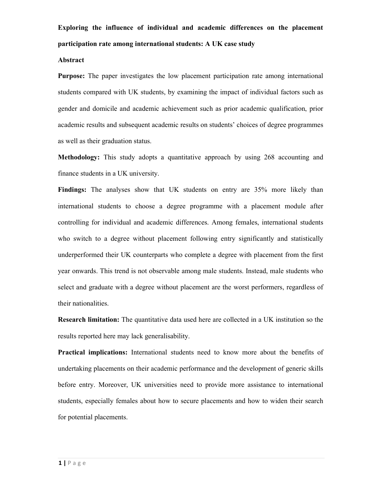# **Exploring the influence of individual and academic differences on the placement participation rate among international students: A UK case study**

# **Abstract**

**Purpose:** The paper investigates the low placement participation rate among international students compared with UK students, by examining the impact of individual factors such as gender and domicile and academic achievement such as prior academic qualification, prior academic results and subsequent academic results on students' choices of degree programmes as well as their graduation status.

**Methodology:** This study adopts a quantitative approach by using 268 accounting and finance students in a UK university.

**Findings:** The analyses show that UK students on entry are 35% more likely than international students to choose a degree programme with a placement module after controlling for individual and academic differences. Among females, international students who switch to a degree without placement following entry significantly and statistically underperformed their UK counterparts who complete a degree with placement from the first year onwards. This trend is not observable among male students. Instead, male students who select and graduate with a degree without placement are the worst performers, regardless of their nationalities.

**Research limitation:** The quantitative data used here are collected in a UK institution so the results reported here may lack generalisability.

**Practical implications:** International students need to know more about the benefits of undertaking placements on their academic performance and the development of generic skills before entry. Moreover, UK universities need to provide more assistance to international students, especially females about how to secure placements and how to widen their search for potential placements.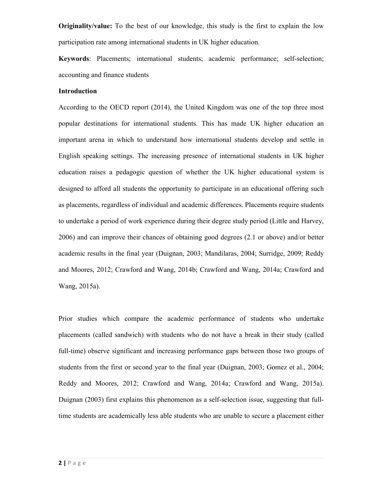**Originality/value:** To the best of our knowledge, this study is the first to explain the low participation rate among international students in UK higher education.

**Keywords**: Placements; international students; academic performance; self-selection; accounting and finance students

#### **Introduction**

According to the OECD report (2014), the United Kingdom was one of the top three most popular destinations for international students. This has made UK higher education an important arena in which to understand how international students develop and settle in English speaking settings. The increasing presence of international students in UK higher education raises a pedagogic question of whether the UK higher educational system is designed to afford all students the opportunity to participate in an educational offering such as placements, regardless of individual and academic differences. Placements require students to undertake a period of work experience during their degree study period (Little and Harvey, 2006) and can improve their chances of obtaining good degrees (2.1 or above) and/or better academic results in the final year (Duignan, 2003; Mandilaras, 2004; Surridge, 2009; Reddy and Moores, 2012; Crawford and Wang, 2014b; Crawford and Wang, 2014a; Crawford and Wang, 2015a).

Prior studies which compare the academic performance of students who undertake placements (called sandwich) with students who do not have a break in their study (called full-time) observe significant and increasing performance gaps between those two groups of students from the first or second year to the final year (Duignan, 2003; Gomez et al., 2004; Reddy and Moores, 2012; Crawford and Wang, 2014a; Crawford and Wang, 2015a). Duignan (2003) first explains this phenomenon as a self-selection issue, suggesting that fulltime students are academically less able students who are unable to secure a placement either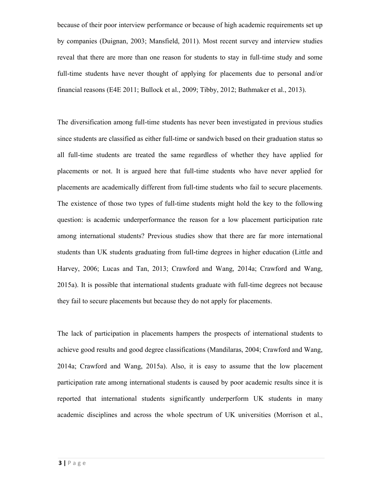because of their poor interview performance or because of high academic requirements set up by companies (Duignan, 2003; Mansfield, 2011). Most recent survey and interview studies reveal that there are more than one reason for students to stay in full-time study and some full-time students have never thought of applying for placements due to personal and/or financial reasons (E4E 2011; Bullock et al., 2009; Tibby, 2012; Bathmaker et al., 2013).

The diversification among full-time students has never been investigated in previous studies since students are classified as either full-time or sandwich based on their graduation status so all full-time students are treated the same regardless of whether they have applied for placements or not. It is argued here that full-time students who have never applied for placements are academically different from full-time students who fail to secure placements. The existence of those two types of full-time students might hold the key to the following question: is academic underperformance the reason for a low placement participation rate among international students? Previous studies show that there are far more international students than UK students graduating from full-time degrees in higher education (Little and Harvey, 2006; Lucas and Tan, 2013; Crawford and Wang, 2014a; Crawford and Wang, 2015a). It is possible that international students graduate with full-time degrees not because they fail to secure placements but because they do not apply for placements.

The lack of participation in placements hampers the prospects of international students to achieve good results and good degree classifications (Mandilaras, 2004; Crawford and Wang, 2014a; Crawford and Wang, 2015a). Also, it is easy to assume that the low placement participation rate among international students is caused by poor academic results since it is reported that international students significantly underperform UK students in many academic disciplines and across the whole spectrum of UK universities (Morrison et al.,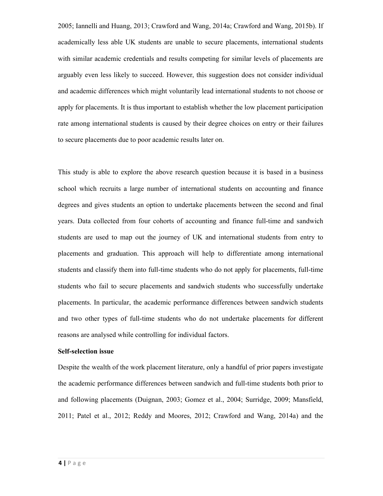2005; Iannelli and Huang, 2013; Crawford and Wang, 2014a; Crawford and Wang, 2015b). If academically less able UK students are unable to secure placements, international students with similar academic credentials and results competing for similar levels of placements are arguably even less likely to succeed. However, this suggestion does not consider individual and academic differences which might voluntarily lead international students to not choose or apply for placements. It is thus important to establish whether the low placement participation rate among international students is caused by their degree choices on entry or their failures to secure placements due to poor academic results later on.

This study is able to explore the above research question because it is based in a business school which recruits a large number of international students on accounting and finance degrees and gives students an option to undertake placements between the second and final years. Data collected from four cohorts of accounting and finance full-time and sandwich students are used to map out the journey of UK and international students from entry to placements and graduation. This approach will help to differentiate among international students and classify them into full-time students who do not apply for placements, full-time students who fail to secure placements and sandwich students who successfully undertake placements. In particular, the academic performance differences between sandwich students and two other types of full-time students who do not undertake placements for different reasons are analysed while controlling for individual factors.

# **Self-selection issue**

Despite the wealth of the work placement literature, only a handful of prior papers investigate the academic performance differences between sandwich and full-time students both prior to and following placements (Duignan, 2003; Gomez et al., 2004; Surridge, 2009; Mansfield, 2011; Patel et al., 2012; Reddy and Moores, 2012; Crawford and Wang, 2014a) and the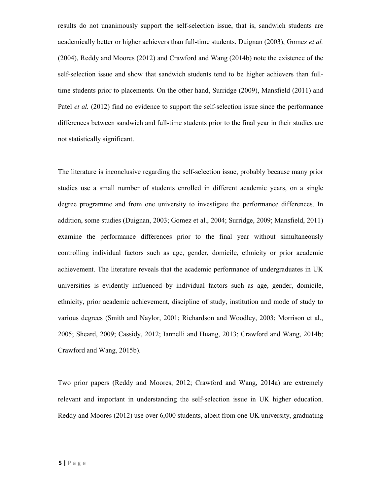results do not unanimously support the self-selection issue, that is, sandwich students are academically better or higher achievers than full-time students. Duignan (2003), Gomez *et al.* (2004), Reddy and Moores (2012) and Crawford and Wang (2014b) note the existence of the self-selection issue and show that sandwich students tend to be higher achievers than fulltime students prior to placements. On the other hand, Surridge (2009), Mansfield (2011) and Patel *et al.* (2012) find no evidence to support the self-selection issue since the performance differences between sandwich and full-time students prior to the final year in their studies are not statistically significant.

The literature is inconclusive regarding the self-selection issue, probably because many prior studies use a small number of students enrolled in different academic years, on a single degree programme and from one university to investigate the performance differences. In addition, some studies (Duignan, 2003; Gomez et al., 2004; Surridge, 2009; Mansfield, 2011) examine the performance differences prior to the final year without simultaneously controlling individual factors such as age, gender, domicile, ethnicity or prior academic achievement. The literature reveals that the academic performance of undergraduates in UK universities is evidently influenced by individual factors such as age, gender, domicile, ethnicity, prior academic achievement, discipline of study, institution and mode of study to various degrees (Smith and Naylor, 2001; Richardson and Woodley, 2003; Morrison et al., 2005; Sheard, 2009; Cassidy, 2012; Iannelli and Huang, 2013; Crawford and Wang, 2014b; Crawford and Wang, 2015b).

Two prior papers (Reddy and Moores, 2012; Crawford and Wang, 2014a) are extremely relevant and important in understanding the self-selection issue in UK higher education. Reddy and Moores (2012) use over 6,000 students, albeit from one UK university, graduating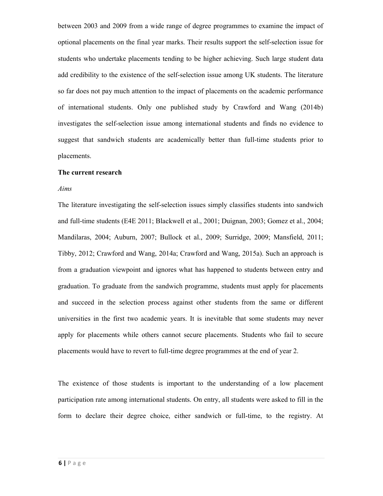between 2003 and 2009 from a wide range of degree programmes to examine the impact of optional placements on the final year marks. Their results support the self-selection issue for students who undertake placements tending to be higher achieving. Such large student data add credibility to the existence of the self-selection issue among UK students. The literature so far does not pay much attention to the impact of placements on the academic performance of international students. Only one published study by Crawford and Wang (2014b) investigates the self-selection issue among international students and finds no evidence to suggest that sandwich students are academically better than full-time students prior to placements.

## **The current research**

#### *Aims*

The literature investigating the self-selection issues simply classifies students into sandwich and full-time students (E4E 2011; Blackwell et al., 2001; Duignan, 2003; Gomez et al., 2004; Mandilaras, 2004; Auburn, 2007; Bullock et al., 2009; Surridge, 2009; Mansfield, 2011; Tibby, 2012; Crawford and Wang, 2014a; Crawford and Wang, 2015a). Such an approach is from a graduation viewpoint and ignores what has happened to students between entry and graduation. To graduate from the sandwich programme, students must apply for placements and succeed in the selection process against other students from the same or different universities in the first two academic years. It is inevitable that some students may never apply for placements while others cannot secure placements. Students who fail to secure placements would have to revert to full-time degree programmes at the end of year 2.

The existence of those students is important to the understanding of a low placement participation rate among international students. On entry, all students were asked to fill in the form to declare their degree choice, either sandwich or full-time, to the registry. At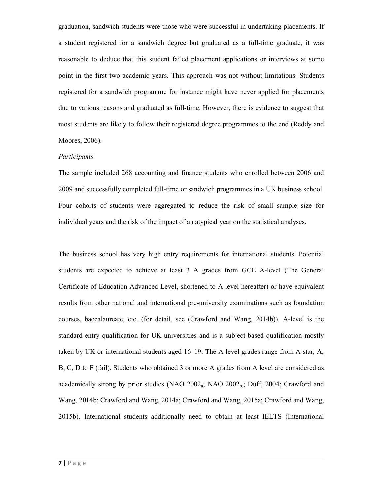graduation, sandwich students were those who were successful in undertaking placements. If a student registered for a sandwich degree but graduated as a full-time graduate, it was reasonable to deduce that this student failed placement applications or interviews at some point in the first two academic years. This approach was not without limitations. Students registered for a sandwich programme for instance might have never applied for placements due to various reasons and graduated as full-time. However, there is evidence to suggest that most students are likely to follow their registered degree programmes to the end (Reddy and Moores, 2006).

#### *Participants*

The sample included 268 accounting and finance students who enrolled between 2006 and 2009 and successfully completed full-time or sandwich programmes in a UK business school. Four cohorts of students were aggregated to reduce the risk of small sample size for individual years and the risk of the impact of an atypical year on the statistical analyses.

The business school has very high entry requirements for international students. Potential students are expected to achieve at least 3 A grades from GCE A-level (The General Certificate of Education Advanced Level, shortened to A level hereafter) or have equivalent results from other national and international pre-university examinations such as foundation courses, baccalaureate, etc. (for detail, see (Crawford and Wang, 2014b)). A-level is the standard entry qualification for UK universities and is a subject-based qualification mostly taken by UK or international students aged 16–19. The A-level grades range from A star, A, B, C, D to F (fail). Students who obtained 3 or more A grades from A level are considered as academically strong by prior studies (NAO  $2002<sub>a</sub>$ ; NAO  $2002<sub>b</sub>$ ; Duff, 2004; Crawford and Wang, 2014b; Crawford and Wang, 2014a; Crawford and Wang, 2015a; Crawford and Wang, 2015b). International students additionally need to obtain at least IELTS (International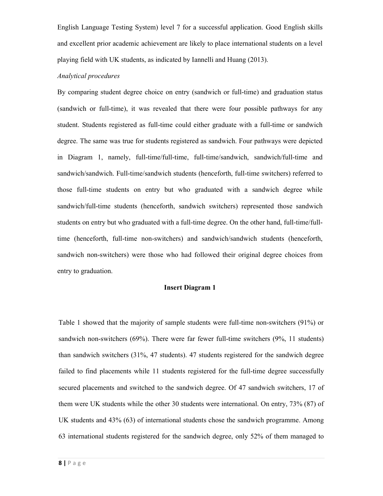English Language Testing System) level 7 for a successful application. Good English skills and excellent prior academic achievement are likely to place international students on a level playing field with UK students, as indicated by Iannelli and Huang (2013).

# *Analytical procedures*

By comparing student degree choice on entry (sandwich or full-time) and graduation status (sandwich or full-time), it was revealed that there were four possible pathways for any student. Students registered as full-time could either graduate with a full-time or sandwich degree. The same was true for students registered as sandwich. Four pathways were depicted in Diagram 1, namely, full-time/full-time, full-time/sandwich, sandwich/full-time and sandwich/sandwich. Full-time/sandwich students (henceforth, full-time switchers) referred to those full-time students on entry but who graduated with a sandwich degree while sandwich/full-time students (henceforth, sandwich switchers) represented those sandwich students on entry but who graduated with a full-time degree. On the other hand, full-time/fulltime (henceforth, full-time non-switchers) and sandwich/sandwich students (henceforth, sandwich non-switchers) were those who had followed their original degree choices from entry to graduation.

#### **Insert Diagram 1**

Table 1 showed that the majority of sample students were full-time non-switchers (91%) or sandwich non-switchers (69%). There were far fewer full-time switchers (9%, 11 students) than sandwich switchers (31%, 47 students). 47 students registered for the sandwich degree failed to find placements while 11 students registered for the full-time degree successfully secured placements and switched to the sandwich degree. Of 47 sandwich switchers, 17 of them were UK students while the other 30 students were international. On entry, 73% (87) of UK students and 43% (63) of international students chose the sandwich programme. Among 63 international students registered for the sandwich degree, only 52% of them managed to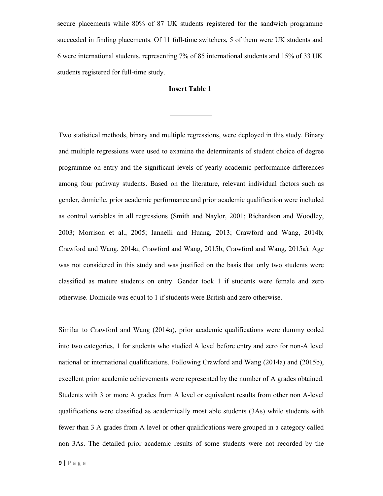secure placements while 80% of 87 UK students registered for the sandwich programme succeeded in finding placements. Of 11 full-time switchers, 5 of them were UK students and 6 were international students, representing 7% of 85 international students and 15% of 33 UK students registered for full-time study.

#### **Insert Table 1**

Two statistical methods, binary and multiple regressions, were deployed in this study. Binary and multiple regressions were used to examine the determinants of student choice of degree programme on entry and the significant levels of yearly academic performance differences among four pathway students. Based on the literature, relevant individual factors such as gender, domicile, prior academic performance and prior academic qualification were included as control variables in all regressions (Smith and Naylor, 2001; Richardson and Woodley, 2003; Morrison et al., 2005; Iannelli and Huang, 2013; Crawford and Wang, 2014b; Crawford and Wang, 2014a; Crawford and Wang, 2015b; Crawford and Wang, 2015a). Age was not considered in this study and was justified on the basis that only two students were classified as mature students on entry. Gender took 1 if students were female and zero otherwise. Domicile was equal to 1 if students were British and zero otherwise.

Similar to Crawford and Wang (2014a), prior academic qualifications were dummy coded into two categories, 1 for students who studied A level before entry and zero for non-A level national or international qualifications. Following Crawford and Wang (2014a) and (2015b), excellent prior academic achievements were represented by the number of A grades obtained. Students with 3 or more A grades from A level or equivalent results from other non A-level qualifications were classified as academically most able students (3As) while students with fewer than 3 A grades from A level or other qualifications were grouped in a category called non 3As. The detailed prior academic results of some students were not recorded by the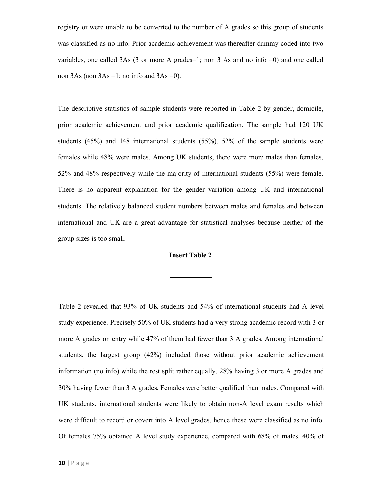registry or were unable to be converted to the number of A grades so this group of students was classified as no info. Prior academic achievement was thereafter dummy coded into two variables, one called 3As (3 or more A grades=1; non 3 As and no info  $=0$ ) and one called non  $3As$  (non  $3As = 1$ ; no info and  $3As = 0$ ).

The descriptive statistics of sample students were reported in Table 2 by gender, domicile, prior academic achievement and prior academic qualification. The sample had 120 UK students (45%) and 148 international students (55%). 52% of the sample students were females while 48% were males. Among UK students, there were more males than females, 52% and 48% respectively while the majority of international students (55%) were female. There is no apparent explanation for the gender variation among UK and international students. The relatively balanced student numbers between males and females and between international and UK are a great advantage for statistical analyses because neither of the group sizes is too small.

# **Insert Table 2**

Table 2 revealed that 93% of UK students and 54% of international students had A level study experience. Precisely 50% of UK students had a very strong academic record with 3 or more A grades on entry while 47% of them had fewer than 3 A grades. Among international students, the largest group (42%) included those without prior academic achievement information (no info) while the rest split rather equally, 28% having 3 or more A grades and 30% having fewer than 3 A grades. Females were better qualified than males. Compared with UK students, international students were likely to obtain non-A level exam results which were difficult to record or covert into A level grades, hence these were classified as no info. Of females 75% obtained A level study experience, compared with 68% of males. 40% of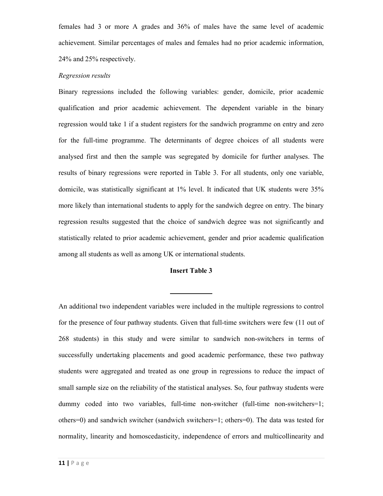females had 3 or more A grades and 36% of males have the same level of academic achievement. Similar percentages of males and females had no prior academic information, 24% and 25% respectively.

# *Regression results*

Binary regressions included the following variables: gender, domicile, prior academic qualification and prior academic achievement. The dependent variable in the binary regression would take 1 if a student registers for the sandwich programme on entry and zero for the full-time programme. The determinants of degree choices of all students were analysed first and then the sample was segregated by domicile for further analyses. The results of binary regressions were reported in Table 3. For all students, only one variable, domicile, was statistically significant at 1% level. It indicated that UK students were 35% more likely than international students to apply for the sandwich degree on entry. The binary regression results suggested that the choice of sandwich degree was not significantly and statistically related to prior academic achievement, gender and prior academic qualification among all students as well as among UK or international students.

# **Insert Table 3**

An additional two independent variables were included in the multiple regressions to control for the presence of four pathway students. Given that full-time switchers were few (11 out of 268 students) in this study and were similar to sandwich non-switchers in terms of successfully undertaking placements and good academic performance, these two pathway students were aggregated and treated as one group in regressions to reduce the impact of small sample size on the reliability of the statistical analyses. So, four pathway students were dummy coded into two variables, full-time non-switcher (full-time non-switchers=1; others=0) and sandwich switcher (sandwich switchers=1; others=0). The data was tested for normality, linearity and homoscedasticity, independence of errors and multicollinearity and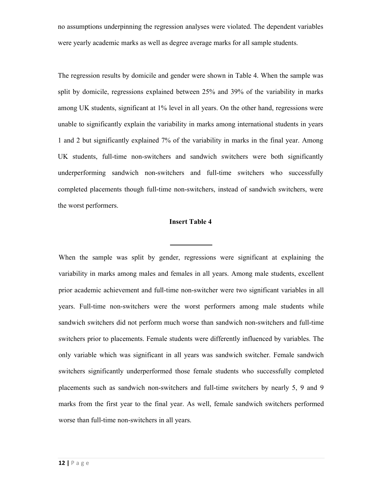no assumptions underpinning the regression analyses were violated. The dependent variables were yearly academic marks as well as degree average marks for all sample students.

The regression results by domicile and gender were shown in Table 4. When the sample was split by domicile, regressions explained between 25% and 39% of the variability in marks among UK students, significant at 1% level in all years. On the other hand, regressions were unable to significantly explain the variability in marks among international students in years 1 and 2 but significantly explained 7% of the variability in marks in the final year. Among UK students, full-time non-switchers and sandwich switchers were both significantly underperforming sandwich non-switchers and full-time switchers who successfully completed placements though full-time non-switchers, instead of sandwich switchers, were the worst performers.

# **Insert Table 4**

When the sample was split by gender, regressions were significant at explaining the variability in marks among males and females in all years. Among male students, excellent prior academic achievement and full-time non-switcher were two significant variables in all years. Full-time non-switchers were the worst performers among male students while sandwich switchers did not perform much worse than sandwich non-switchers and full-time switchers prior to placements. Female students were differently influenced by variables. The only variable which was significant in all years was sandwich switcher. Female sandwich switchers significantly underperformed those female students who successfully completed placements such as sandwich non-switchers and full-time switchers by nearly 5, 9 and 9 marks from the first year to the final year. As well, female sandwich switchers performed worse than full-time non-switchers in all years.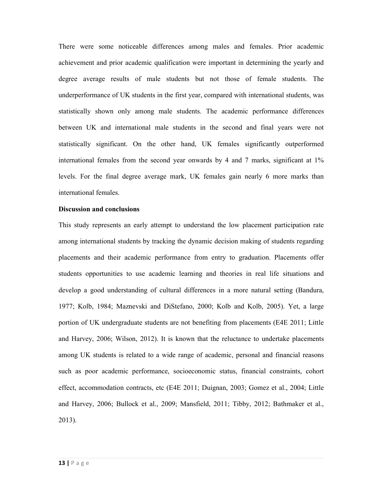There were some noticeable differences among males and females. Prior academic achievement and prior academic qualification were important in determining the yearly and degree average results of male students but not those of female students. The underperformance of UK students in the first year, compared with international students, was statistically shown only among male students. The academic performance differences between UK and international male students in the second and final years were not statistically significant. On the other hand, UK females significantly outperformed international females from the second year onwards by 4 and 7 marks, significant at 1% levels. For the final degree average mark, UK females gain nearly 6 more marks than international females.

#### **Discussion and conclusions**

This study represents an early attempt to understand the low placement participation rate among international students by tracking the dynamic decision making of students regarding placements and their academic performance from entry to graduation. Placements offer students opportunities to use academic learning and theories in real life situations and develop a good understanding of cultural differences in a more natural setting (Bandura, 1977; Kolb, 1984; Maznevski and DiStefano, 2000; Kolb and Kolb, 2005). Yet, a large portion of UK undergraduate students are not benefiting from placements (E4E 2011; Little and Harvey, 2006; Wilson, 2012). It is known that the reluctance to undertake placements among UK students is related to a wide range of academic, personal and financial reasons such as poor academic performance, socioeconomic status, financial constraints, cohort effect, accommodation contracts, etc (E4E 2011; Duignan, 2003; Gomez et al., 2004; Little and Harvey, 2006; Bullock et al., 2009; Mansfield, 2011; Tibby, 2012; Bathmaker et al., 2013).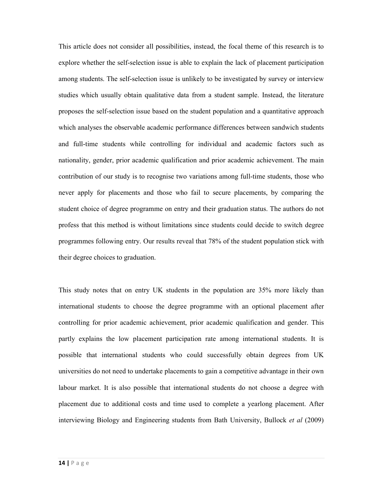This article does not consider all possibilities, instead, the focal theme of this research is to explore whether the self-selection issue is able to explain the lack of placement participation among students. The self-selection issue is unlikely to be investigated by survey or interview studies which usually obtain qualitative data from a student sample. Instead, the literature proposes the self-selection issue based on the student population and a quantitative approach which analyses the observable academic performance differences between sandwich students and full-time students while controlling for individual and academic factors such as nationality, gender, prior academic qualification and prior academic achievement. The main contribution of our study is to recognise two variations among full-time students, those who never apply for placements and those who fail to secure placements, by comparing the student choice of degree programme on entry and their graduation status. The authors do not profess that this method is without limitations since students could decide to switch degree programmes following entry. Our results reveal that 78% of the student population stick with their degree choices to graduation.

This study notes that on entry UK students in the population are 35% more likely than international students to choose the degree programme with an optional placement after controlling for prior academic achievement, prior academic qualification and gender. This partly explains the low placement participation rate among international students. It is possible that international students who could successfully obtain degrees from UK universities do not need to undertake placements to gain a competitive advantage in their own labour market. It is also possible that international students do not choose a degree with placement due to additional costs and time used to complete a yearlong placement. After interviewing Biology and Engineering students from Bath University, Bullock *et al* (2009)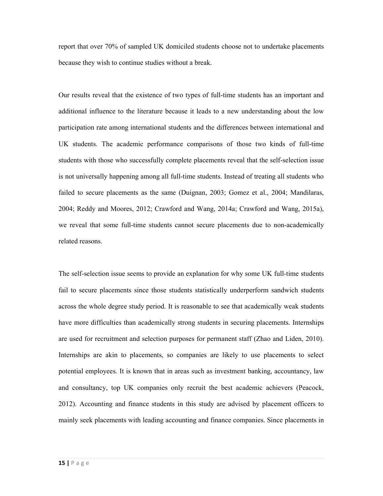report that over 70% of sampled UK domiciled students choose not to undertake placements because they wish to continue studies without a break.

Our results reveal that the existence of two types of full-time students has an important and additional influence to the literature because it leads to a new understanding about the low participation rate among international students and the differences between international and UK students. The academic performance comparisons of those two kinds of full-time students with those who successfully complete placements reveal that the self-selection issue is not universally happening among all full-time students. Instead of treating all students who failed to secure placements as the same (Duignan, 2003; Gomez et al., 2004; Mandilaras, 2004; Reddy and Moores, 2012; Crawford and Wang, 2014a; Crawford and Wang, 2015a), we reveal that some full-time students cannot secure placements due to non-academically related reasons.

The self-selection issue seems to provide an explanation for why some UK full-time students fail to secure placements since those students statistically underperform sandwich students across the whole degree study period. It is reasonable to see that academically weak students have more difficulties than academically strong students in securing placements. Internships are used for recruitment and selection purposes for permanent staff (Zhao and Liden, 2010). Internships are akin to placements, so companies are likely to use placements to select potential employees. It is known that in areas such as investment banking, accountancy, law and consultancy, top UK companies only recruit the best academic achievers (Peacock, 2012). Accounting and finance students in this study are advised by placement officers to mainly seek placements with leading accounting and finance companies. Since placements in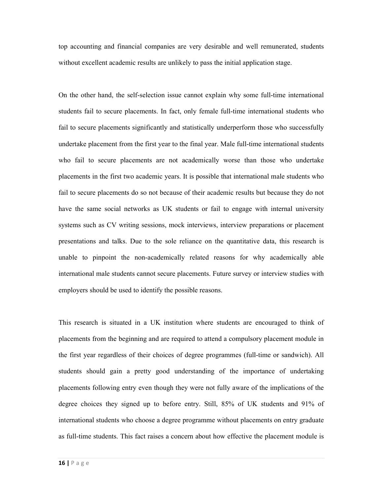top accounting and financial companies are very desirable and well remunerated, students without excellent academic results are unlikely to pass the initial application stage.

On the other hand, the self-selection issue cannot explain why some full-time international students fail to secure placements. In fact, only female full-time international students who fail to secure placements significantly and statistically underperform those who successfully undertake placement from the first year to the final year. Male full-time international students who fail to secure placements are not academically worse than those who undertake placements in the first two academic years. It is possible that international male students who fail to secure placements do so not because of their academic results but because they do not have the same social networks as UK students or fail to engage with internal university systems such as CV writing sessions, mock interviews, interview preparations or placement presentations and talks. Due to the sole reliance on the quantitative data, this research is unable to pinpoint the non-academically related reasons for why academically able international male students cannot secure placements. Future survey or interview studies with employers should be used to identify the possible reasons.

This research is situated in a UK institution where students are encouraged to think of placements from the beginning and are required to attend a compulsory placement module in the first year regardless of their choices of degree programmes (full-time or sandwich). All students should gain a pretty good understanding of the importance of undertaking placements following entry even though they were not fully aware of the implications of the degree choices they signed up to before entry. Still, 85% of UK students and 91% of international students who choose a degree programme without placements on entry graduate as full-time students. This fact raises a concern about how effective the placement module is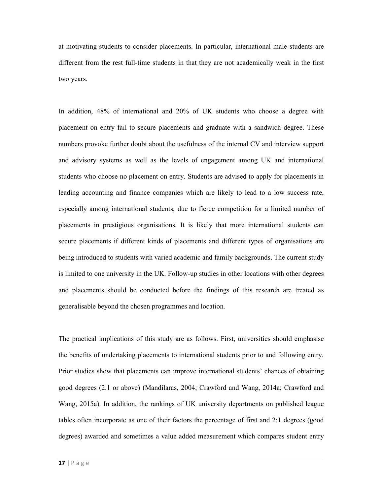at motivating students to consider placements. In particular, international male students are different from the rest full-time students in that they are not academically weak in the first two years.

In addition, 48% of international and 20% of UK students who choose a degree with placement on entry fail to secure placements and graduate with a sandwich degree. These numbers provoke further doubt about the usefulness of the internal CV and interview support and advisory systems as well as the levels of engagement among UK and international students who choose no placement on entry. Students are advised to apply for placements in leading accounting and finance companies which are likely to lead to a low success rate, especially among international students, due to fierce competition for a limited number of placements in prestigious organisations. It is likely that more international students can secure placements if different kinds of placements and different types of organisations are being introduced to students with varied academic and family backgrounds. The current study is limited to one university in the UK. Follow-up studies in other locations with other degrees and placements should be conducted before the findings of this research are treated as generalisable beyond the chosen programmes and location.

The practical implications of this study are as follows. First, universities should emphasise the benefits of undertaking placements to international students prior to and following entry. Prior studies show that placements can improve international students' chances of obtaining good degrees (2.1 or above) (Mandilaras, 2004; Crawford and Wang, 2014a; Crawford and Wang, 2015a). In addition, the rankings of UK university departments on published league tables often incorporate as one of their factors the percentage of first and 2:1 degrees (good degrees) awarded and sometimes a value added measurement which compares student entry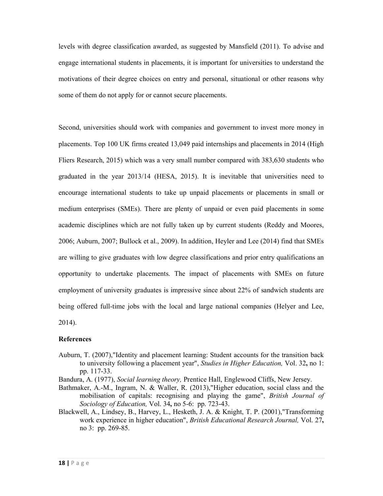levels with degree classification awarded, as suggested by Mansfield (2011). To advise and engage international students in placements, it is important for universities to understand the motivations of their degree choices on entry and personal, situational or other reasons why some of them do not apply for or cannot secure placements.

Second, universities should work with companies and government to invest more money in placements. Top 100 UK firms created 13,049 paid internships and placements in 2014 (High Fliers Research, 2015) which was a very small number compared with 383,630 students who graduated in the year 2013/14 (HESA, 2015). It is inevitable that universities need to encourage international students to take up unpaid placements or placements in small or medium enterprises (SMEs). There are plenty of unpaid or even paid placements in some academic disciplines which are not fully taken up by current students (Reddy and Moores, 2006; Auburn, 2007; Bullock et al., 2009). In addition, Heyler and Lee (2014) find that SMEs are willing to give graduates with low degree classifications and prior entry qualifications an opportunity to undertake placements. The impact of placements with SMEs on future employment of university graduates is impressive since about 22% of sandwich students are being offered full-time jobs with the local and large national companies (Helyer and Lee, 2014).

# **References**

Auburn, T. (2007),"Identity and placement learning: Student accounts for the transition back to university following a placement year", *Studies in Higher Education,* Vol. 32**,** no 1: pp. 117-33.

Bandura, A. (1977), *Social learning theory,* Prentice Hall, Englewood Cliffs, New Jersey.

- Bathmaker, A.-M., Ingram, N. & Waller, R. (2013),"Higher education, social class and the mobilisation of capitals: recognising and playing the game", *British Journal of Sociology of Education,* Vol. 34**,** no 5-6: pp. 723-43.
- Blackwell, A., Lindsey, B., Harvey, L., Hesketh, J. A. & Knight, T. P. (2001),"Transforming work experience in higher education", *British Educational Research Journal,* Vol. 27**,** no 3: pp. 269-85.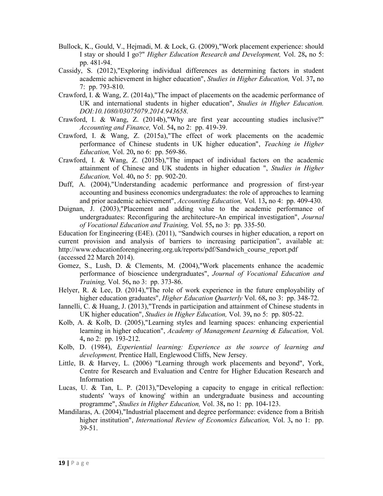- Bullock, K., Gould, V., Hejmadi, M. & Lock, G. (2009),"Work placement experience: should I stay or should I go?" *Higher Education Research and Development,* Vol. 28**,** no 5: pp. 481-94.
- Cassidy, S. (2012),"Exploring individual differences as determining factors in student academic achievement in higher education", *Studies in Higher Education,* Vol. 37**,** no 7: pp. 793-810.
- Crawford, I. & Wang, Z. (2014a),"The impact of placements on the academic performance of UK and international students in higher education", *Studies in Higher Education. DOI:10.1080/03075079.2014.943658*.
- Crawford, I. & Wang, Z. (2014b),"Why are first year accounting studies inclusive?" *Accounting and Finance,* Vol. 54**,** no 2: pp. 419-39.
- Crawford, I. & Wang, Z. (2015a),"The effect of work placements on the academic performance of Chinese students in UK higher education", *Teaching in Higher Education,* Vol. 20**,** no 6: pp. 569-86.
- Crawford, I. & Wang, Z. (2015b),"The impact of individual factors on the academic attainment of Chinese and UK students in higher education ", *Studies in Higher Education,* Vol. 40**,** no 5: pp. 902-20.
- Duff, A. (2004),"Understanding academic performance and progression of first-year accounting and business economics undergraduates: the role of approaches to learning and prior academic achievement", *Accounting Education,* Vol. 13**,** no 4: pp. 409-430.
- Duignan, J. (2003),"Placement and adding value to the academic performance of undergraduates: Reconfiguring the architecture-An empirical investigation", *Journal of Vocational Education and Training,* Vol. 55**,** no 3: pp. 335-50.

Education for Engineering (E4E). (2011), "Sandwich courses in higher education, a report on current provision and analysis of barriers to increasing participation", available at: http://www.educationforengineering.org.uk/reports/pdf/Sandwich\_course\_report.pdf (accessed 22 March 2014).

- Gomez, S., Lush, D. & Clements, M. (2004),"Work placements enhance the academic performance of bioscience undergraduates", *Journal of Vocational Education and Training,* Vol. 56**,** no 3: pp. 373-86.
- Helyer, R. & Lee, D. (2014),"The role of work experience in the future employability of higher education graduates", *Higher Education Quarterly* Vol. 68**,** no 3: pp. 348-72.
- Iannelli, C. & Huang, J. (2013),"Trends in participation and attainment of Chinese students in UK higher education", *Studies in Higher Education,* Vol. 39**,** no 5: pp. 805-22.
- Kolb, A. & Kolb, D. (2005),"Learning styles and learning spaces: enhancing experiential learning in higher education", *Academy of Management Learning & Education,* Vol. 4**,** no 2: pp. 193-212.
- Kolb, D. (1984), *Experiential learning: Experience as the source of learning and development,* Prentice Hall, Englewood Cliffs, New Jersey.
- Little, B. & Harvey, L. (2006) "Learning through work placements and beyond", York, Centre for Research and Evaluation and Centre for Higher Education Research and Information
- Lucas, U. & Tan, L. P. (2013),"Developing a capacity to engage in critical reflection: students' 'ways of knowing' within an undergraduate business and accounting programme", *Studies in Higher Education,* Vol. 38**,** no 1: pp. 104-123.
- Mandilaras, A. (2004),"Industrial placement and degree performance: evidence from a British higher institution", *International Review of Economics Education,* Vol. 3**,** no 1: pp. 39-51.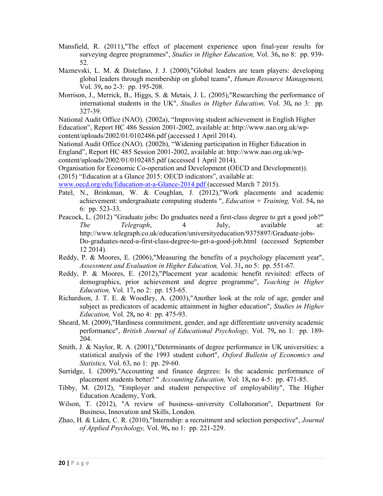- Mansfield, R. (2011),"The effect of placement experience upon final-year results for surveying degree programmes", *Studies in Higher Education,* Vol. 36**,** no 8: pp. 939- 52.
- Maznevski, L. M. & Distefano, J. J. (2000),"Global leaders are team players: developing global leaders through membership on global teams", *Human Resource Management,* Vol. 39**,** no 2-3: pp. 195-208.
- Morrison, J., Merrick, B., Higgs, S. & Metais, J. L. (2005),"Researching the performance of international students in the UK", *Studies in Higher Education,* Vol. 30**,** no 3: pp. 327-39.

National Audit Office (NAO). (2002a), "Improving student achievement in English Higher Education", Report HC 486 Session 2001-2002, available at: http://www.nao.org.uk/wpcontent/uploads/2002/01/0102486.pdf (accessed 1 April 2014).

National Audit Office (NAO). (2002b), "Widening participation in Higher Education in England", Report HC 485 Session 2001-2002, available at: http://www.nao.org.uk/wp-

content/uploads/2002/01/0102485.pdf (accessed 1 April 2014).

Organisation for Economic Co-operation and Development (OECD and Development)). (2015) "Education at a Glance 2015: OECD indicators", available at:

www.oecd.org/edu/Education-at-a-Glance-2014.pdf (accessed March 7 2015).

- Patel, N., Brinkman, W. & Coughlan, J. (2012), "Work placements and academic achievement: undergraduate computing students ", *Education + Training,* Vol. 54**,** no 6: pp. 523-33.
- Peacock, L. (2012) "Graduate jobs: Do graduates need a first-class degree to get a good job?" *The Telegraph*, 4 July, available at: http://www.telegraph.co.uk/education/universityeducation/9375897/Graduate-jobs-Do-graduates-need-a-first-class-degree-to-get-a-good-job.html (accessed September 12 2014).
- Reddy, P. & Moores, E. (2006),"Measuring the benefits of a psychology placement year", *Assessment and Evaluation in Higher Education,* Vol. 31**,** no 5: pp. 551-67.
- Reddy, P. & Moores, E. (2012),"Placement year academic benefit revisited: effects of demographics, prior achievement and degree programme", *Teaching in Higher Education,* Vol. 17**,** no 2: pp. 153-65.
- Richardson, J. T. E. & Woodley, A. (2003),"Another look at the role of age, gender and subject as predicators of academic attainment in higher education", *Studies in Higher Education,* Vol. 28**,** no 4: pp. 475-93.
- Sheard, M. (2009),"Hardiness commitment, gender, and age differentiate university academic performance", *British Journal of Educational Psychology,* Vol. 79**,** no 1: pp. 189- 204.
- Smith, J. & Naylor, R. A. (2001),"Determinants of degree performance in UK universities: a statistical analysis of the 1993 student cohort", *Oxford Bulletin of Economics and Statistics,* Vol. 63, no 1: pp. 29-60.
- Surridge, I. (2009),"Accounting and finance degrees: Is the academic performance of placement students better? " *Accounting Education,* Vol. 18**,** no 4-5: pp. 471-85.
- Tibby, M. (2012), "Employer and student perspective of employability", The Higher Education Academy, York.
- Wilson, T. (2012), "A review of business–university Collaboration", Department for Business, Innovation and Skills, London.
- Zhao, H. & Liden, C. R. (2010),"Internship: a recruitment and selection perspective", *Journal of Applied Psychology,* Vol. 96**,** no 1: pp. 221-229.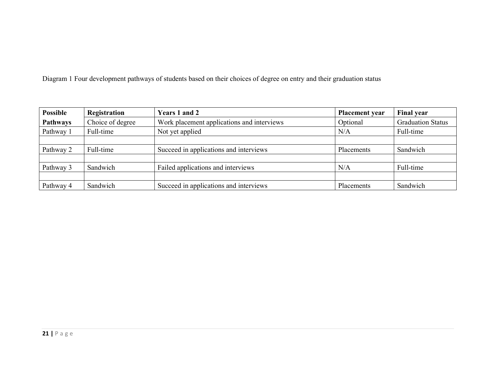Diagram 1 Four development pathways of students based on their choices of degree on entry and their graduation status

| <b>Possible</b> | Registration     | <b>Years 1 and 2</b>                       | <b>Placement</b> year | <b>Final year</b>        |
|-----------------|------------------|--------------------------------------------|-----------------------|--------------------------|
| <b>Pathways</b> | Choice of degree | Work placement applications and interviews | Optional              | <b>Graduation Status</b> |
| Pathway 1       | Full-time        | Not yet applied                            | N/A                   | Full-time                |
|                 |                  |                                            |                       |                          |
| Pathway 2       | Full-time        | Succeed in applications and interviews     | Placements            | Sandwich                 |
|                 |                  |                                            |                       |                          |
| Pathway 3       | Sandwich         | Failed applications and interviews         | N/A                   | Full-time                |
|                 |                  |                                            |                       |                          |
| Pathway 4       | Sandwich         | Succeed in applications and interviews     | Placements            | Sandwich                 |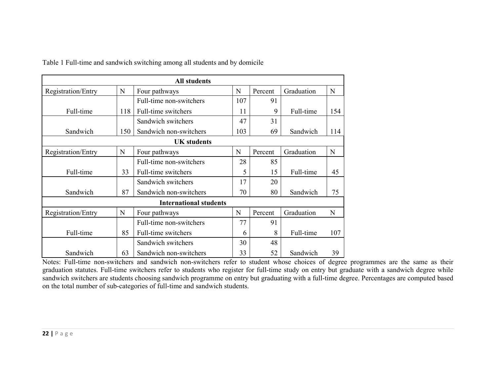| <b>All students</b>                                                    |                           |                               |         |            |            |     |  |  |
|------------------------------------------------------------------------|---------------------------|-------------------------------|---------|------------|------------|-----|--|--|
| Registration/Entry                                                     | Percent                   | Graduation                    | N       |            |            |     |  |  |
|                                                                        |                           | 107                           | 91      |            |            |     |  |  |
| Full-time                                                              | 118                       | Full-time switchers           | 11      | 9          | Full-time  | 154 |  |  |
|                                                                        |                           | Sandwich switchers            | 47      | 31         |            |     |  |  |
| Sandwich                                                               | 150                       | Sandwich non-switchers        | 103     | 69         | Sandwich   | 114 |  |  |
|                                                                        |                           | <b>UK</b> students            |         |            |            |     |  |  |
| $\mathbf N$<br>Registration/Entry<br>Four pathways                     |                           | N                             | Percent | Graduation | N          |     |  |  |
|                                                                        |                           | Full-time non-switchers       | 28      | 85         |            |     |  |  |
| Full-time                                                              | 33                        | Full-time switchers           | 5       | 15         | Full-time  | 45  |  |  |
|                                                                        |                           | Sandwich switchers            | 17      | 20         |            |     |  |  |
| Sandwich                                                               | 87                        | Sandwich non-switchers        | 70      | 80         | Sandwich   | 75  |  |  |
|                                                                        |                           | <b>International students</b> |         |            |            |     |  |  |
| Registration/Entry                                                     | N                         | Four pathways                 | N       | Percent    | Graduation | N   |  |  |
|                                                                        |                           | Full-time non-switchers       | 77      | 91         |            |     |  |  |
| Full-time                                                              | 85<br>Full-time switchers |                               | 6       | 8          | Full-time  | 107 |  |  |
|                                                                        |                           | Sandwich switchers            | 30      | 48         |            |     |  |  |
| Sandwich<br>Sandwich non-switchers<br>33<br>52<br>Sandwich<br>39<br>63 |                           |                               |         |            |            |     |  |  |

Table 1 Full-time and sandwich switching among all students and by domicile

Notes: Full-time non-switchers and sandwich non-switchers refer to student whose choices of degree programmes are the same as their graduation statutes. Full-time switchers refer to students who register for full-time study on entry but graduate with a sandwich degree while sandwich switchers are students choosing sandwich programme on entry but graduating with a full-time degree. Percentages are computed based on the total number of sub-categories of full-time and sandwich students.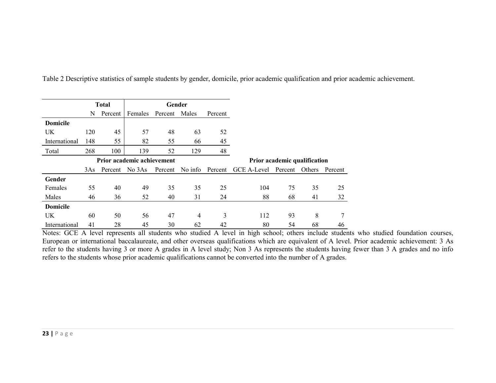|                            | <b>Total</b> |         |                | Gender        |         |         |                              |         |        |         |
|----------------------------|--------------|---------|----------------|---------------|---------|---------|------------------------------|---------|--------|---------|
|                            | N            | Percent | Females        | Percent Males |         | Percent |                              |         |        |         |
| <b>Domicile</b>            |              |         |                |               |         |         |                              |         |        |         |
| <b>UK</b>                  | 120          | 45      | 57             | 48            | 63      | 52      |                              |         |        |         |
| International              | 148          | 55      | 82             | 55            | 66      | 45      |                              |         |        |         |
| Total                      | 268          | 100     | 139            | 52            | 129     | 48      |                              |         |        |         |
| Prior academic achievement |              |         |                |               |         |         | Prior academic qualification |         |        |         |
|                            | 3As          |         | Percent No 3As | Percent       | No info | Percent | <b>GCE A-Level</b>           | Percent | Others | Percent |
| Gender                     |              |         |                |               |         |         |                              |         |        |         |
| Females                    | 55           | 40      | 49             | 35            | 35      | 25      | 104                          | 75      | 35     | 25      |
| Males                      | 46           | 36      | 52             | 40            | 31      | 24      | 88                           | 68      | 41     | 32      |
| <b>Domicile</b>            |              |         |                |               |         |         |                              |         |        |         |
|                            |              |         |                |               |         |         | 112                          | 93      | 8      | 7       |
| <b>UK</b>                  | 60           | 50      | 56             | 47            | 4       | 3       |                              |         |        |         |

Table 2 Descriptive statistics of sample students by gender, domicile, prior academic qualification and prior academic achievement.

Notes: GCE A level represents all students who studied A level in high school; others include students who studied foundation courses, European or international baccalaureate, and other overseas qualifications which are equivalent of A level. Prior academic achievement: 3 As refer to the students having 3 or more A grades in A level study; Non 3 As represents the students having fewer than 3 A grades and no info refers to the students whose prior academic qualifications cannot be converted into the number of A grades.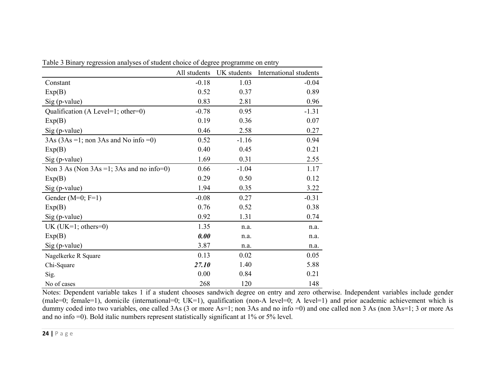|                                              | All students | UK students | International students |
|----------------------------------------------|--------------|-------------|------------------------|
| Constant                                     | $-0.18$      | 1.03        | $-0.04$                |
| Exp(B)                                       | 0.52         | 0.37        | 0.89                   |
| $Sig$ (p-value)                              | 0.83         | 2.81        | 0.96                   |
| Qualification (A Level=1; other=0)           | $-0.78$      | 0.95        | $-1.31$                |
| Exp(B)                                       | 0.19         | 0.36        | 0.07                   |
| Sig (p-value)                                | 0.46         | 2.58        | 0.27                   |
| $3As (3As = 1; non 3As and No info = 0)$     | 0.52         | $-1.16$     | 0.94                   |
| Exp(B)                                       | 0.40         | 0.45        | 0.21                   |
| $Sig$ (p-value)                              | 1.69         | 0.31        | 2.55                   |
| Non 3 As (Non $3As = 1$ ; 3As and no info=0) | 0.66         | $-1.04$     | 1.17                   |
| Exp(B)                                       | 0.29         | 0.50        | 0.12                   |
| Sig (p-value)                                | 1.94         | 0.35        | 3.22                   |
| Gender ( $M=0$ ; $F=1$ )                     | $-0.08$      | 0.27        | $-0.31$                |
| Exp(B)                                       | 0.76         | 0.52        | 0.38                   |
| $Sig$ (p-value)                              | 0.92         | 1.31        | 0.74                   |
| UK (UK=1; others=0)                          | 1.35         | n.a.        | n.a.                   |
| Exp(B)                                       | 0.00         | n.a.        | n.a.                   |
| $Sig$ (p-value)                              | 3.87         | n.a.        | n.a.                   |
| Nagelkerke R Square                          | 0.13         | 0.02        | 0.05                   |
| Chi-Square                                   | 27.10        | 1.40        | 5.88                   |
| Sig.                                         | 0.00         | 0.84        | 0.21                   |
| No of cases                                  | 268          | 120         | 148                    |

Table 3 Binary regression analyses of student choice of degree programme on entry

Notes: Dependent variable takes 1 if a student chooses sandwich degree on entry and zero otherwise. Independent variables include gender (male=0; female=1), domicile (international=0; UK=1), qualification (non-A level=0; A level=1) and prior academic achievement which is dummy coded into two variables, one called 3As (3 or more As=1; non 3As and no info =0) and one called non 3 As (non 3As=1; 3 or more As and no info =0). Bold italic numbers represent statistically significant at 1% or 5% level.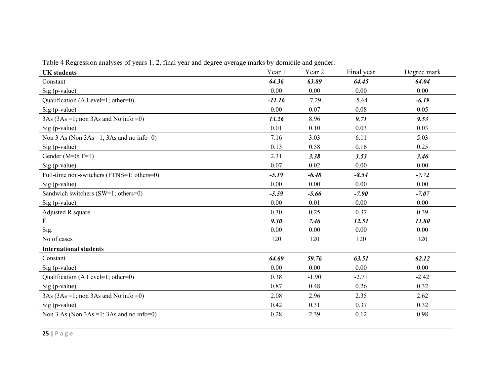|  |  |  | Table 4 Regression analyses of years 1, 2, final year and degree average marks by domicile and gender. |
|--|--|--|--------------------------------------------------------------------------------------------------------|
|  |  |  |                                                                                                        |

| <b>UK</b> students                               | Year 1   | Year <sub>2</sub> | Final year | Degree mark |
|--------------------------------------------------|----------|-------------------|------------|-------------|
| Constant                                         | 64.36    | 63.89             | 64.45      | 64.04       |
| Sig (p-value)                                    | 0.00     | 0.00              | 0.00       | 0.00        |
| Qualification (A Level=1; other=0)               | $-11.16$ | $-7.29$           | $-5.64$    | $-6.19$     |
| Sig (p-value)                                    | 0.00     | 0.07              | 0.08       | 0.05        |
| $3As (3As = 1; non 3As and No info = 0)$         | 13.26    | 8.96              | 9.71       | 9.53        |
| $Sig$ (p-value)                                  | 0.01     | 0.10              | 0.03       | 0.03        |
| Non $3$ As (Non $3As = 1$ ; $3As$ and no info=0) | 7.16     | 3.03              | 6.11       | 5.03        |
| $Sig$ (p-value)                                  | 0.13     | 0.58              | 0.16       | 0.25        |
| Gender ( $M=0$ ; $F=1$ )                         | 2.31     | 3.38              | 3.53       | 3.46        |
| Sig (p-value)                                    | 0.07     | 0.02              | 0.00       | 0.00        |
| Full-time non-switchers (FTNS=1; others=0)       | $-5.19$  | $-6.48$           | $-8.54$    | $-7.72$     |
| Sig (p-value)                                    | 0.00     | 0.00              | 0.00       | 0.00        |
| Sandwich switchers (SW=1; others=0)              | $-5.59$  | $-5.66$           | $-7.90$    | $-7.07$     |
| $Sig$ (p-value)                                  | 0.00     | 0.01              | 0.00       | 0.00        |
| Adjusted R square                                | 0.30     | 0.25              | 0.37       | 0.39        |
| F                                                | 9.30     | 7.46              | 12.51      | 11.80       |
| Sig.                                             | 0.00     | 0.00              | 0.00       | 0.00        |
| No of cases                                      | 120      | 120               | 120        | 120         |
| <b>International students</b>                    |          |                   |            |             |
| Constant                                         | 64.69    | 59.76             | 63.51      | 62.12       |
| $Sig$ (p-value)                                  | 0.00     | 0.00              | 0.00       | 0.00        |
| Qualification (A Level=1; other=0)               | 0.38     | $-1.90$           | $-2.71$    | $-2.42$     |
| $Sig$ (p-value)                                  | 0.87     | 0.48              | 0.26       | 0.32        |
| $3As (3As = 1; non 3As and No info = 0)$         | 2.08     | 2.96              | 2.35       | 2.62        |
| $Sig$ (p-value)                                  | 0.42     | 0.31              | 0.37       | 0.32        |
| Non $3$ As (Non $3As = 1$ ; $3As$ and no info=0) | 0.28     | 2.39              | 0.12       | 0.98        |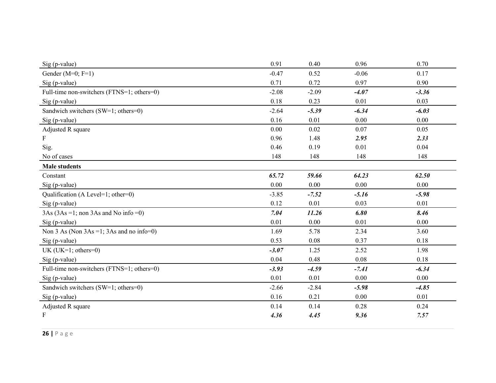| $Sig$ (p-value)                                  | 0.91     | 0.40    | 0.96    | 0.70    |
|--------------------------------------------------|----------|---------|---------|---------|
| Gender ( $M=0$ ; $F=1$ )                         | $-0.47$  | 0.52    | $-0.06$ | 0.17    |
| Sig (p-value)                                    | 0.71     | 0.72    | 0.97    | 0.90    |
| Full-time non-switchers (FTNS=1; others=0)       | $-2.08$  | $-2.09$ | $-4.07$ | $-3.36$ |
| Sig (p-value)                                    | 0.18     | 0.23    | 0.01    | 0.03    |
| Sandwich switchers (SW=1; others=0)              | $-2.64$  | $-5.39$ | $-6.34$ | $-6.03$ |
| Sig (p-value)                                    | 0.16     | 0.01    | 0.00    | 0.00    |
| Adjusted R square                                | $0.00\,$ | 0.02    | 0.07    | 0.05    |
| F                                                | 0.96     | 1.48    | 2.95    | 2.33    |
| Sig.                                             | 0.46     | 0.19    | 0.01    | 0.04    |
| No of cases                                      | 148      | 148     | 148     | 148     |
| <b>Male students</b>                             |          |         |         |         |
| Constant                                         | 65.72    | 59.66   | 64.23   | 62.50   |
| Sig (p-value)                                    | 0.00     | 0.00    | 0.00    | 0.00    |
| Qualification (A Level=1; other=0)               | $-3.85$  | $-7.52$ | $-5.16$ | $-5.98$ |
| $Sig$ (p-value)                                  | 0.12     | 0.01    | 0.03    | 0.01    |
| $3As (3As = 1; non 3As and No info = 0)$         | 7.04     | 11.26   | 6.80    | 8.46    |
| $Sig$ (p-value)                                  | 0.01     | 0.00    | 0.01    | 0.00    |
| Non $3$ As (Non $3As = 1$ ; $3As$ and no info=0) | 1.69     | 5.78    | 2.34    | 3.60    |
| $Sig$ (p-value)                                  | 0.53     | 0.08    | 0.37    | 0.18    |
| UK (UK=1; others=0)                              | $-3.07$  | 1.25    | 2.52    | 1.98    |
| $Sig$ (p-value)                                  | 0.04     | 0.48    | 0.08    | 0.18    |
| Full-time non-switchers (FTNS=1; others=0)       | $-3.93$  | $-4.59$ | $-7.41$ | $-6.34$ |
| Sig (p-value)                                    | 0.01     | 0.01    | 0.00    | 0.00    |
| Sandwich switchers (SW=1; others=0)              | $-2.66$  | $-2.84$ | $-5.98$ | $-4.85$ |
| Sig (p-value)                                    | 0.16     | 0.21    | 0.00    | 0.01    |
| Adjusted R square                                | 0.14     | 0.14    | 0.28    | 0.24    |
| F                                                | 4.36     | 4.45    | 9.36    | 7.57    |
|                                                  |          |         |         |         |